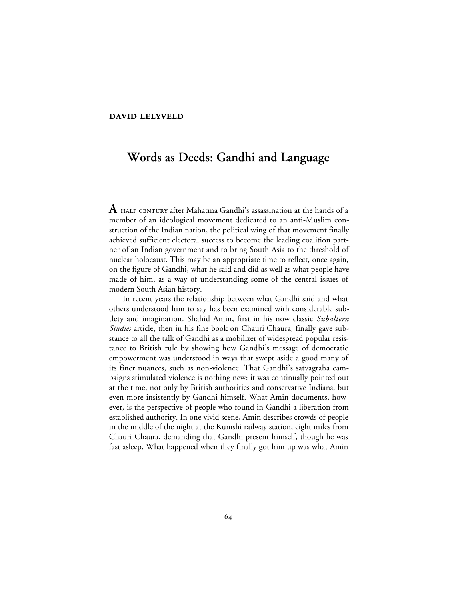## **DAVID LELYVELD**

## **Words as Deeds: Gandhi and Language**

**A**  after Mahatma Gandhi's assassination at the hands of a member of an ideological movement dedicated to an anti-Muslim construction of the Indian nation, the political wing of that movement finally achieved sufficient electoral success to become the leading coalition partner of an Indian government and to bring South Asia to the threshold of nuclear holocaust. This may be an appropriate time to reflect, once again, on the figure of Gandhi, what he said and did as well as what people have made of him, as a way of understanding some of the central issues of modern South Asian history.

In recent years the relationship between what Gandhi said and what others understood him to say has been examined with considerable subtlety and imagination. Shahid Amin, first in his now classic *Subaltern Studies* article, then in his fine book on Chauri Chaura, finally gave substance to all the talk of Gandhi as a mobilizer of widespread popular resistance to British rule by showing how Gandhi's message of democratic empowerment was understood in ways that swept aside a good many of its finer nuances, such as non-violence. That Gandhi's satyagraha campaigns stimulated violence is nothing new: it was continually pointed out at the time, not only by British authorities and conservative Indians, but even more insistently by Gandhi himself. What Amin documents, however, is the perspective of people who found in Gandhi a liberation from established authority. In one vivid scene, Amin describes crowds of people in the middle of the night at the Kumshi railway station, eight miles from Chauri Chaura, demanding that Gandhi present himself, though he was fast asleep. What happened when they finally got him up was what Amin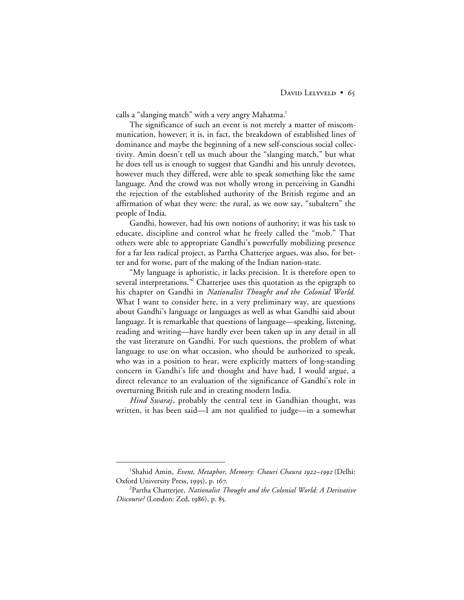calls a "slanging match" with a very angry Mahatma.<sup>1</sup>

The significance of such an event is not merely a matter of miscommunication, however; it is, in fact, the breakdown of established lines of dominance and maybe the beginning of a new self-conscious social collectivity. Amin doesn't tell us much about the "slanging match," but what he does tell us is enough to suggest that Gandhi and his unruly devotees, however much they differed, were able to speak something like the same language. And the crowd was not wholly wrong in perceiving in Gandhi the rejection of the established authority of the British regime and an affirmation of what they were: the rural, as we now say, "subaltern" the people of India.

Gandhi, however, had his own notions of authority; it was his task to educate, discipline and control what he freely called the "mob." That others were able to appropriate Gandhi's powerfully mobilizing presence for a far less radical project, as Partha Chatterjee argues, was also, for better and for worse, part of the making of the Indian nation-state.

"My language is aphoristic, it lacks precision. It is therefore open to several interpretations.<sup>32</sup> Chatterjee uses this quotation as the epigraph to his chapter on Gandhi in *Nationalist Thought and the Colonial World.* What I want to consider here, in a very preliminary way, are questions about Gandhi's language or languages as well as what Gandhi said about language. It is remarkable that questions of language—speaking, listening, reading and writing—have hardly ever been taken up in any detail in all the vast literature on Gandhi. For such questions, the problem of what language to use on what occasion, who should be authorized to speak, who was in a position to hear, were explicitly matters of long-standing concern in Gandhi's life and thought and have had, I would argue, a direct relevance to an evaluation of the significance of Gandhi's role in overturning British rule and in creating modern India.

*Hind Swaraj*, probably the central text in Gandhian thought, was written, it has been said—I am not qualified to judge—in a somewhat

 $\begin{array}{c}\n\hline\n\end{array}$ <sup>1</sup>Shahid Amin, *Event, Metaphor, Memory: Chauri Chaura 1922–1992* (Delhi: Oxford University Press, 1995), p. 167.

<sup>2</sup> Partha Chatterjee, *Nationalist Thought and the Colonial World: A Derivative Discourse?* (London: Zed, 1986), p. 85.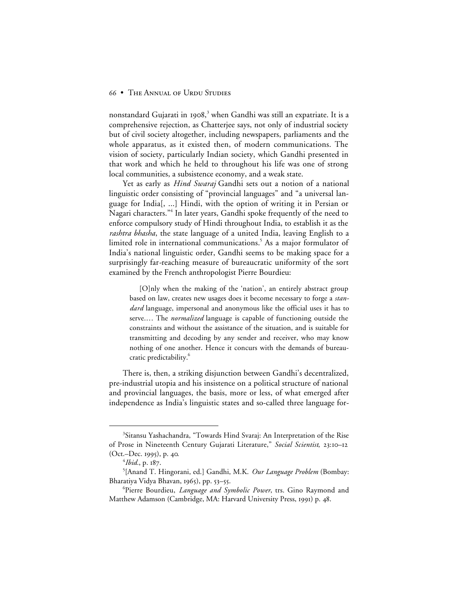nonstandard Gujarati in 1908, $^3$  when Gandhi was still an expatriate. It is a comprehensive rejection, as Chatterjee says, not only of industrial society but of civil society altogether, including newspapers, parliaments and the whole apparatus, as it existed then, of modern communications. The vision of society, particularly Indian society, which Gandhi presented in that work and which he held to throughout his life was one of strong local communities, a subsistence economy, and a weak state.

Yet as early as *Hind Swaraj* Gandhi sets out a notion of a national linguistic order consisting of "provincial languages" and "a universal language for India[, ...] Hindi, with the option of writing it in Persian or Nagari characters."<sup>4</sup> In later years, Gandhi spoke frequently of the need to enforce compulsory study of Hindi throughout India, to establish it as the *rashtra bhasha*, the state language of a united India, leaving English to a limited role in international communications.<sup>5</sup> As a major formulator of India's national linguistic order, Gandhi seems to be making space for a surprisingly far-reaching measure of bureaucratic uniformity of the sort examined by the French anthropologist Pierre Bourdieu:

[O]nly when the making of the 'nation', an entirely abstract group based on law, creates new usages does it become necessary to forge a *standard* language, impersonal and anonymous like the official uses it has to serve.… The *normalized* language is capable of functioning outside the constraints and without the assistance of the situation, and is suitable for transmitting and decoding by any sender and receiver, who may know nothing of one another. Hence it concurs with the demands of bureaucratic predictability.<sup>6</sup>

There is, then, a striking disjunction between Gandhi's decentralized, pre-industrial utopia and his insistence on a political structure of national and provincial languages, the basis, more or less, of what emerged after independence as India's linguistic states and so-called three language for-

 $\frac{1}{3}$ <sup>3</sup>Sitansu Yashachandra, "Towards Hind Svaraj: An Interpretation of the Rise of Prose in Nineteenth Century Gujarati Literature," Social Scientist, 23:10-12  $(Oct.-Dec. 1995), p. 40.$ 

<sup>&</sup>lt;sup>4</sup>Ibid., p. 187.

<sup>5</sup> [Anand T. Hingorani, ed.] Gandhi, M.K. *Our Language Problem* (Bombay: Bharatiya Vidya Bhavan, 1965), pp. 53–55.

<sup>6</sup> Pierre Bourdieu, *Language and Symbolic Power*, trs. Gino Raymond and Matthew Adamson (Cambridge, MA: Harvard University Press, 1991) p. 48.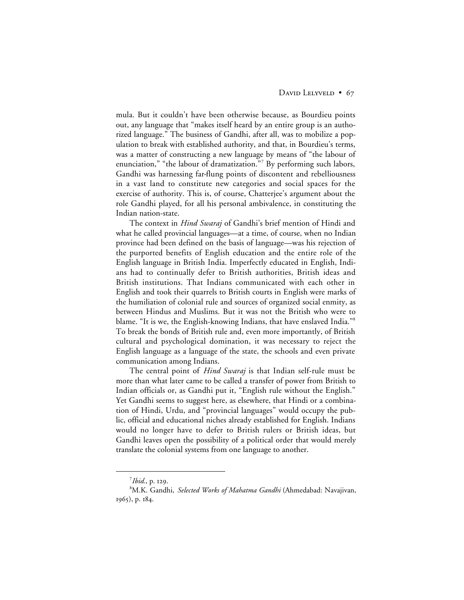mula. But it couldn't have been otherwise because, as Bourdieu points out, any language that "makes itself heard by an entire group is an authorized language." The business of Gandhi, after all, was to mobilize a population to break with established authority, and that, in Bourdieu's terms, was a matter of constructing a new language by means of "the labour of enunciation," "the labour of dramatization."<sup>7</sup> By performing such labors, Gandhi was harnessing far-flung points of discontent and rebelliousness in a vast land to constitute new categories and social spaces for the exercise of authority. This is, of course, Chatterjee's argument about the role Gandhi played, for all his personal ambivalence, in constituting the Indian nation-state.

The context in *Hind Swaraj* of Gandhi's brief mention of Hindi and what he called provincial languages—at a time, of course, when no Indian province had been defined on the basis of language—was his rejection of the purported benefits of English education and the entire role of the English language in British India. Imperfectly educated in English, Indians had to continually defer to British authorities, British ideas and British institutions. That Indians communicated with each other in English and took their quarrels to British courts in English were marks of the humiliation of colonial rule and sources of organized social enmity, as between Hindus and Muslims. But it was not the British who were to blame. "It is we, the English-knowing Indians, that have enslaved India."8 To break the bonds of British rule and, even more importantly, of British cultural and psychological domination, it was necessary to reject the English language as a language of the state, the schools and even private communication among Indians.

The central point of *Hind Swaraj* is that Indian self-rule must be more than what later came to be called a transfer of power from British to Indian officials or, as Gandhi put it, "English rule without the English." Yet Gandhi seems to suggest here, as elsewhere, that Hindi or a combination of Hindi, Urdu, and "provincial languages" would occupy the public, official and educational niches already established for English. Indians would no longer have to defer to British rulers or British ideas, but Gandhi leaves open the possibility of a political order that would merely translate the colonial systems from one language to another.

 $\frac{1}{7}$  $^7$ *Ibid.*, p. 129.

<sup>8</sup> M.K. Gandhi, *Selected Works of Mahatma Gandhi* (Ahmedabad: Navajivan, 1965), p. 184.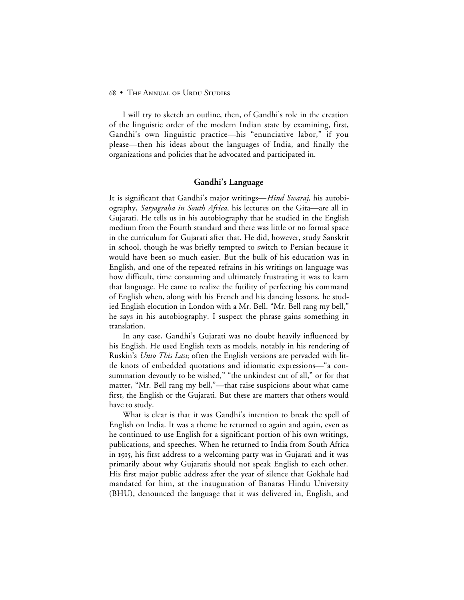I will try to sketch an outline, then, of Gandhi's role in the creation of the linguistic order of the modern Indian state by examining, first, Gandhi's own linguistic practice—his "enunciative labor," if you please—then his ideas about the languages of India, and finally the organizations and policies that he advocated and participated in.

## **Gandhi's Language**

It is significant that Gandhi's major writings—*Hind Swaraj*, his autobiography, *Satyagraha in South Africa,* his lectures on the Gita—are all in Gujarati. He tells us in his autobiography that he studied in the English medium from the Fourth standard and there was little or no formal space in the curriculum for Gujarati after that. He did, however, study Sanskrit in school, though he was briefly tempted to switch to Persian because it would have been so much easier. But the bulk of his education was in English, and one of the repeated refrains in his writings on language was how difficult, time consuming and ultimately frustrating it was to learn that language. He came to realize the futility of perfecting his command of English when, along with his French and his dancing lessons, he studied English elocution in London with a Mr. Bell. "Mr. Bell rang my bell," he says in his autobiography. I suspect the phrase gains something in translation.

In any case, Gandhi's Gujarati was no doubt heavily influenced by his English. He used English texts as models, notably in his rendering of Ruskin's *Unto This Last*; often the English versions are pervaded with little knots of embedded quotations and idiomatic expressions—"a consummation devoutly to be wished," "the unkindest cut of all," or for that matter, "Mr. Bell rang my bell,"—that raise suspicions about what came first, the English or the Gujarati. But these are matters that others would have to study.

What is clear is that it was Gandhi's intention to break the spell of English on India. It was a theme he returned to again and again, even as he continued to use English for a significant portion of his own writings, publications, and speeches. When he returned to India from South Africa in 1915, his first address to a welcoming party was in Gujarati and it was primarily about why Gujaratis should not speak English to each other. His first major public address after the year of silence that Gokhale had mandated for him, at the inauguration of Banaras Hindu University (BHU), denounced the language that it was delivered in, English, and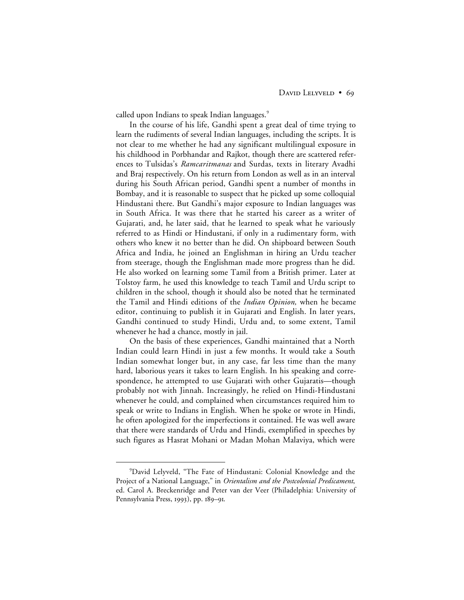called upon Indians to speak Indian languages.<sup>9</sup>

In the course of his life, Gandhi spent a great deal of time trying to learn the rudiments of several Indian languages, including the scripts. It is not clear to me whether he had any significant multilingual exposure in his childhood in Porbhandar and Rajkot, though there are scattered references to Tulsidas's *Ramcaritmanas* and Surdas, texts in literary Avadhi and Braj respectively. On his return from London as well as in an interval during his South African period, Gandhi spent a number of months in Bombay, and it is reasonable to suspect that he picked up some colloquial Hindustani there. But Gandhi's major exposure to Indian languages was in South Africa. It was there that he started his career as a writer of Gujarati, and, he later said, that he learned to speak what he variously referred to as Hindi or Hindustani, if only in a rudimentary form, with others who knew it no better than he did. On shipboard between South Africa and India, he joined an Englishman in hiring an Urdu teacher from steerage, though the Englishman made more progress than he did. He also worked on learning some Tamil from a British primer. Later at Tolstoy farm, he used this knowledge to teach Tamil and Urdu script to children in the school, though it should also be noted that he terminated the Tamil and Hindi editions of the *Indian Opinion,* when he became editor, continuing to publish it in Gujarati and English. In later years, Gandhi continued to study Hindi, Urdu and, to some extent, Tamil whenever he had a chance, mostly in jail.

On the basis of these experiences, Gandhi maintained that a North Indian could learn Hindi in just a few months. It would take a South Indian somewhat longer but, in any case, far less time than the many hard, laborious years it takes to learn English. In his speaking and correspondence, he attempted to use Gujarati with other Gujaratis—though probably not with Jinnah. Increasingly, he relied on Hindi-Hindustani whenever he could, and complained when circumstances required him to speak or write to Indians in English. When he spoke or wrote in Hindi, he often apologized for the imperfections it contained. He was well aware that there were standards of Urdu and Hindi, exemplified in speeches by such figures as Hasrat Mohani or Madan Mohan Malaviya, which were

 $\frac{1}{\sqrt{9}}$ David Lelyveld, "The Fate of Hindustani: Colonial Knowledge and the Project of a National Language," in *Orientalism and the Postcolonial Predicament*, ed. Carol A. Breckenridge and Peter van der Veer (Philadelphia: University of Pennsylvania Press, 1993), pp. 189-91.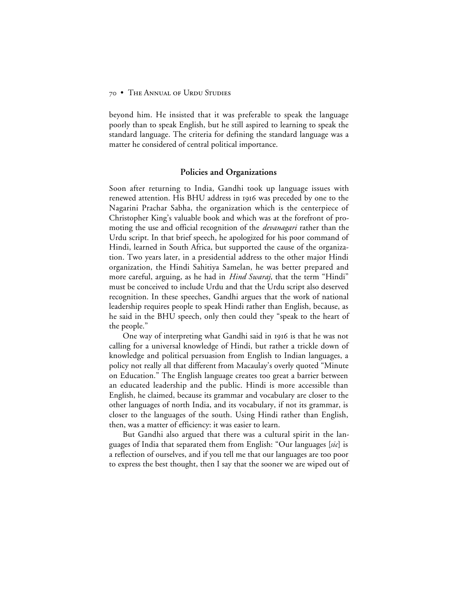beyond him. He insisted that it was preferable to speak the language poorly than to speak English, but he still aspired to learning to speak the standard language. The criteria for defining the standard language was a matter he considered of central political importance.

## **Policies and Organizations**

Soon after returning to India, Gandhi took up language issues with renewed attention. His BHU address in 1916 was preceded by one to the Nagarini Prachar Sabha, the organization which is the centerpiece of Christopher King's valuable book and which was at the forefront of promoting the use and official recognition of the *devanagari* rather than the Urdu script. In that brief speech, he apologized for his poor command of Hindi, learned in South Africa, but supported the cause of the organization. Two years later, in a presidential address to the other major Hindi organization, the Hindi Sahitiya Samelan, he was better prepared and more careful, arguing, as he had in *Hind Swaraj*, that the term "Hindi" must be conceived to include Urdu and that the Urdu script also deserved recognition. In these speeches, Gandhi argues that the work of national leadership requires people to speak Hindi rather than English, because, as he said in the BHU speech, only then could they "speak to the heart of the people."

One way of interpreting what Gandhi said in 1916 is that he was not calling for a universal knowledge of Hindi, but rather a trickle down of knowledge and political persuasion from English to Indian languages, a policy not really all that different from Macaulay's overly quoted "Minute on Education." The English language creates too great a barrier between an educated leadership and the public. Hindi is more accessible than English, he claimed, because its grammar and vocabulary are closer to the other languages of north India, and its vocabulary, if not its grammar, is closer to the languages of the south. Using Hindi rather than English, then, was a matter of efficiency: it was easier to learn.

But Gandhi also argued that there was a cultural spirit in the languages of India that separated them from English: "Our languages [*sic*] is a reflection of ourselves, and if you tell me that our languages are too poor to express the best thought, then I say that the sooner we are wiped out of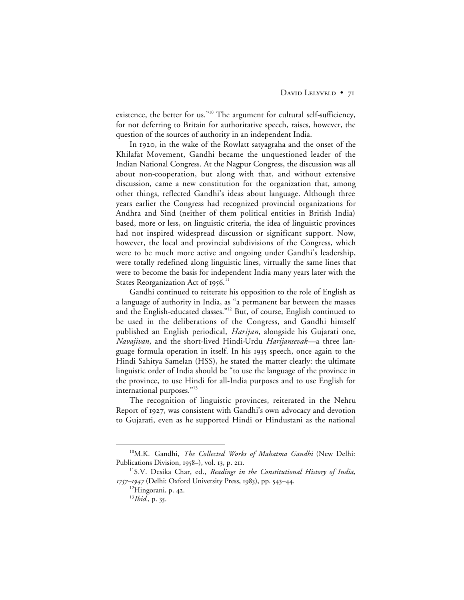existence, the better for us."10 The argument for cultural self-sufficiency, for not deferring to Britain for authoritative speech, raises, however, the question of the sources of authority in an independent India.

In 1920, in the wake of the Rowlatt satyagraha and the onset of the Khilafat Movement, Gandhi became the unquestioned leader of the Indian National Congress. At the Nagpur Congress, the discussion was all about non-cooperation, but along with that, and without extensive discussion, came a new constitution for the organization that, among other things, reflected Gandhi's ideas about language. Although three years earlier the Congress had recognized provincial organizations for Andhra and Sind (neither of them political entities in British India) based, more or less, on linguistic criteria, the idea of linguistic provinces had not inspired widespread discussion or significant support. Now, however, the local and provincial subdivisions of the Congress, which were to be much more active and ongoing under Gandhi's leadership, were totally redefined along linguistic lines, virtually the same lines that were to become the basis for independent India many years later with the States Reorganization Act of 1956. $^{\rm 11}$ 

Gandhi continued to reiterate his opposition to the role of English as a language of authority in India, as "a permanent bar between the masses and the English-educated classes."12 But, of course, English continued to be used in the deliberations of the Congress, and Gandhi himself published an English periodical, *Harijan*, alongside his Gujarati one, *Navajivan*, and the short-lived Hindi-Urdu *Harijansevak—*a three language formula operation in itself. In his 1935 speech, once again to the Hindi Sahitya Samelan (HSS), he stated the matter clearly: the ultimate linguistic order of India should be "to use the language of the province in the province, to use Hindi for all-India purposes and to use English for international purposes."13

The recognition of linguistic provinces, reiterated in the Nehru Report of 1927, was consistent with Gandhi's own advocacy and devotion to Gujarati, even as he supported Hindi or Hindustani as the national

 <sup>10</sup>M.K. Gandhi, *The Collected Works of Mahatma Gandhi* (New Delhi: Publications Division, 1958-), vol. 13, p. 211.

<sup>11</sup>S.V. Desika Char, ed., *Readings in the Constitutional History of India,* 1757–1947 (Delhi: Oxford University Press, 1983), pp. 543–44.

 $12$ Hingorani, p. 42.

<sup>&</sup>lt;sup>13</sup>*Ibid.*, p. 35.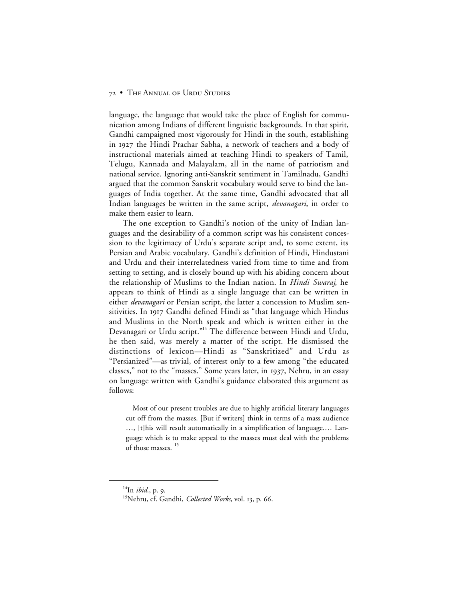language, the language that would take the place of English for communication among Indians of different linguistic backgrounds. In that spirit, Gandhi campaigned most vigorously for Hindi in the south, establishing in 1927 the Hindi Prachar Sabha, a network of teachers and a body of instructional materials aimed at teaching Hindi to speakers of Tamil, Telugu, Kannada and Malayalam, all in the name of patriotism and national service. Ignoring anti-Sanskrit sentiment in Tamilnadu, Gandhi argued that the common Sanskrit vocabulary would serve to bind the languages of India together. At the same time, Gandhi advocated that all Indian languages be written in the same script, *devanagari*, in order to make them easier to learn.

The one exception to Gandhi's notion of the unity of Indian languages and the desirability of a common script was his consistent concession to the legitimacy of Urdu's separate script and, to some extent, its Persian and Arabic vocabulary. Gandhi's definition of Hindi, Hindustani and Urdu and their interrelatedness varied from time to time and from setting to setting, and is closely bound up with his abiding concern about the relationship of Muslims to the Indian nation. In *Hindi Swaraj*, he appears to think of Hindi as a single language that can be written in either *devanagari* or Persian script, the latter a concession to Muslim sensitivities. In 1917 Gandhi defined Hindi as "that language which Hindus and Muslims in the North speak and which is written either in the Devanagari or Urdu script."<sup>14</sup> The difference between Hindi and Urdu, he then said, was merely a matter of the script. He dismissed the distinctions of lexicon—Hindi as "Sanskritized" and Urdu as "Persianized"—as trivial, of interest only to a few among "the educated classes," not to the "masses." Some years later, in 1937, Nehru, in an essay on language written with Gandhi's guidance elaborated this argument as follows:

Most of our present troubles are due to highly artificial literary languages cut off from the masses. [But if writers] think in terms of a mass audience …, [t]his will result automatically in a simplification of language.… Language which is to make appeal to the masses must deal with the problems of those masses.<sup>15</sup>

 $^{14}$ In *ibid.*, p. 9.

<sup>&</sup>lt;sup>15</sup>Nehru, cf. Gandhi, *Collected Works*, vol. 13, p. 66.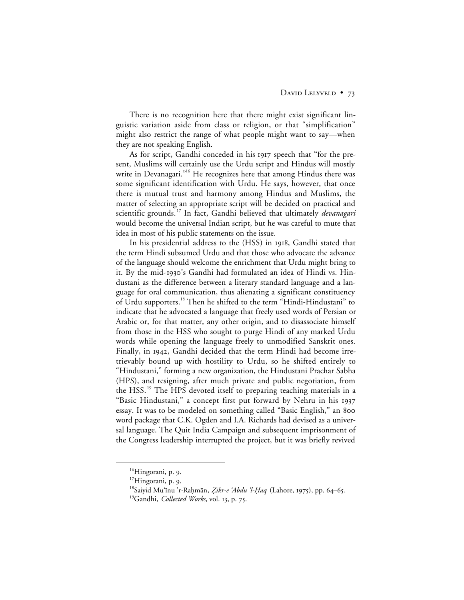There is no recognition here that there might exist significant linguistic variation aside from class or religion, or that "simplification" might also restrict the range of what people might want to say—when they are not speaking English.

As for script, Gandhi conceded in his 1917 speech that "for the present, Muslims will certainly use the Urdu script and Hindus will mostly write in Devanagari."<sup>16</sup> He recognizes here that among Hindus there was some significant identification with Urdu. He says, however, that once there is mutual trust and harmony among Hindus and Muslims, the matter of selecting an appropriate script will be decided on practical and scientific grounds. <sup>17</sup> In fact, Gandhi believed that ultimately *devanagari* would become the universal Indian script, but he was careful to mute that idea in most of his public statements on the issue.

In his presidential address to the (HSS) in 1918, Gandhi stated that the term Hindi subsumed Urdu and that those who advocate the advance of the language should welcome the enrichment that Urdu might bring to it. By the mid-1930's Gandhi had formulated an idea of Hindi vs. Hindustani as the difference between a literary standard language and a language for oral communication, thus alienating a significant constituency of Urdu supporters.<sup>18</sup> Then he shifted to the term "Hindi-Hindustani" to indicate that he advocated a language that freely used words of Persian or Arabic or, for that matter, any other origin, and to disassociate himself from those in the HSS who sought to purge Hindi of any marked Urdu words while opening the language freely to unmodified Sanskrit ones. Finally, in 1942, Gandhi decided that the term Hindi had become irretrievably bound up with hostility to Urdu, so he shifted entirely to "Hindustani," forming a new organization, the Hindustani Prachar Sabha (HPS), and resigning, after much private and public negotiation, from the HSS. <sup>19</sup> The HPS devoted itself to preparing teaching materials in a "Basic Hindustani," a concept first put forward by Nehru in his 1937 essay. It was to be modeled on something called "Basic English," an word package that C.K. Ogden and I.A. Richards had devised as a universal language. The Quit India Campaign and subsequent imprisonment of the Congress leadership interrupted the project, but it was briefly revived

<sup>&</sup>lt;sup>16</sup>Hingorani, p. 9.

<sup>&</sup>lt;sup>17</sup>Hingorani, p. 9.

<sup>&</sup>lt;sup>18</sup>Saiyid Mu'inu 'r-Raḥmān, *Zikr-e 'Abdu 'l-Ḥaq* (Lahore, 1975), pp. 64–65.

<sup>&</sup>lt;sup>19</sup>Gandhi, *Collected Works*, vol. 13, p. 75.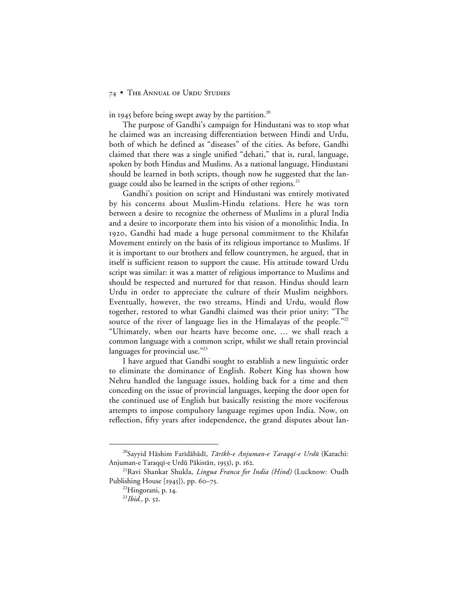in 1945 before being swept away by the partition.<sup>20</sup>

The purpose of Gandhi's campaign for Hindustani was to stop what he claimed was an increasing differentiation between Hindi and Urdu, both of which he defined as "diseases" of the cities. As before, Gandhi claimed that there was a single unified "dehati," that is, rural, language, spoken by both Hindus and Muslims. As a national language, Hindustani should be learned in both scripts, though now he suggested that the language could also be learned in the scripts of other regions.<sup>21</sup>

Gandhi's position on script and Hindustani was entirely motivated by his concerns about Muslim-Hindu relations. Here he was torn between a desire to recognize the otherness of Muslims in a plural India and a desire to incorporate them into his vision of a monolithic India. In , Gandhi had made a huge personal commitment to the Khilafat Movement entirely on the basis of its religious importance to Muslims. If it is important to our brothers and fellow countrymen, he argued, that in itself is sufficient reason to support the cause. His attitude toward Urdu script was similar: it was a matter of religious importance to Muslims and should be respected and nurtured for that reason. Hindus should learn Urdu in order to appreciate the culture of their Muslim neighbors. Eventually, however, the two streams, Hindi and Urdu, would flow together, restored to what Gandhi claimed was their prior unity: "The source of the river of language lies in the Himalayas of the people."<sup>22</sup> "Ultimately, when our hearts have become one, … we shall reach a common language with a common script, whilst we shall retain provincial languages for provincial use."<sup>23</sup>

I have argued that Gandhi sought to establish a new linguistic order to eliminate the dominance of English. Robert King has shown how Nehru handled the language issues, holding back for a time and then conceding on the issue of provincial languages, keeping the door open for the continued use of English but basically resisting the more vociferous attempts to impose compulsory language regimes upon India. Now, on reflection, fifty years after independence, the grand disputes about lan-

<sup>&</sup>lt;sup>20</sup>Sayyid Hāshim Farīdābādī, Tārīkh-e Anjuman-e Taraqqī-e Urdū (Karachi: Anjuman-e Taraqqī-e Urdū Pākistān, 1953), p. 162.

<sup>21</sup>Ravi Shankar Shukla, *Lingua Franca for India (Hind)* (Lucknow: Oudh Publishing House  $[1945]$ , pp. 60–75.

<sup>&</sup>lt;sup>22</sup>Hingorani, p. 14.

 $^{23}Ibid., p. 52.$